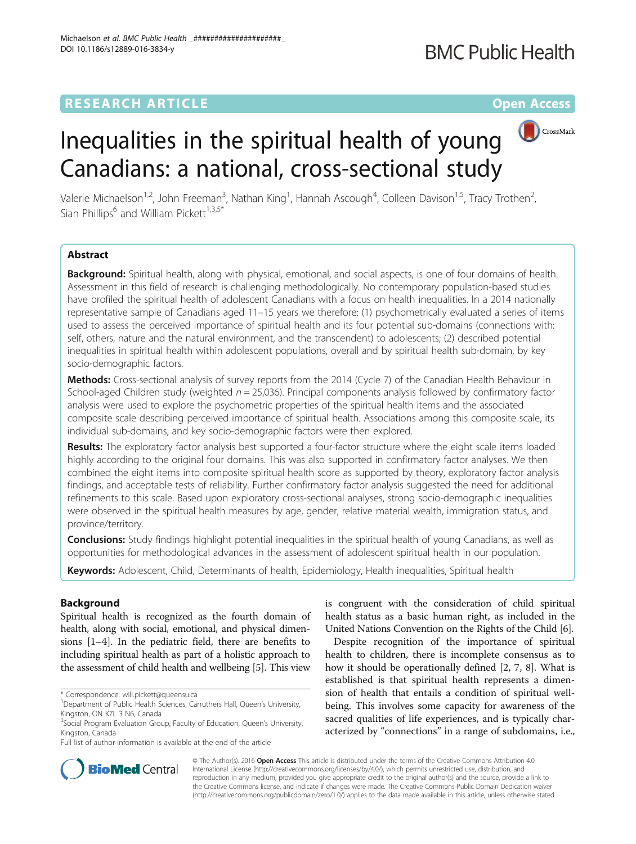# **BMC Public Health**

# **RESEARCH ARTICLE Example 2014 12:30 The Contract of Contract ACCESS**



# Inequalities in the spiritual health of young Canadians: a national, cross-sectional study

Valerie Michaelson<sup>1,2</sup>, John Freeman<sup>3</sup>, Nathan King<sup>1</sup>, Hannah Ascough<sup>4</sup>, Colleen Davison<sup>1,5</sup>, Tracy Trothen<sup>2</sup> .<br>, Sian Phillips<sup>6</sup> and William Pickett<sup>1,3,5\*</sup>

# Abstract

Background: Spiritual health, along with physical, emotional, and social aspects, is one of four domains of health. Assessment in this field of research is challenging methodologically. No contemporary population-based studies have profiled the spiritual health of adolescent Canadians with a focus on health inequalities. In a 2014 nationally representative sample of Canadians aged 11–15 years we therefore: (1) psychometrically evaluated a series of items used to assess the perceived importance of spiritual health and its four potential sub-domains (connections with: self, others, nature and the natural environment, and the transcendent) to adolescents; (2) described potential inequalities in spiritual health within adolescent populations, overall and by spiritual health sub-domain, by key socio-demographic factors.

Methods: Cross-sectional analysis of survey reports from the 2014 (Cycle 7) of the Canadian Health Behaviour in School-aged Children study (weighted  $n = 25,036$ ). Principal components analysis followed by confirmatory factor analysis were used to explore the psychometric properties of the spiritual health items and the associated composite scale describing perceived importance of spiritual health. Associations among this composite scale, its individual sub-domains, and key socio-demographic factors were then explored.

Results: The exploratory factor analysis best supported a four-factor structure where the eight scale items loaded highly according to the original four domains. This was also supported in confirmatory factor analyses. We then combined the eight items into composite spiritual health score as supported by theory, exploratory factor analysis findings, and acceptable tests of reliability. Further confirmatory factor analysis suggested the need for additional refinements to this scale. Based upon exploratory cross-sectional analyses, strong socio-demographic inequalities were observed in the spiritual health measures by age, gender, relative material wealth, immigration status, and province/territory.

**Conclusions:** Study findings highlight potential inequalities in the spiritual health of young Canadians, as well as opportunities for methodological advances in the assessment of adolescent spiritual health in our population.

Keywords: Adolescent, Child, Determinants of health, Epidemiology, Health inequalities, Spiritual health

# Background

Spiritual health is recognized as the fourth domain of health, along with social, emotional, and physical dimensions [[1](#page-7-0)–[4](#page-7-0)]. In the pediatric field, there are benefits to including spiritual health as part of a holistic approach to the assessment of child health and wellbeing [[5](#page-7-0)]. This view

is congruent with the consideration of child spiritual health status as a basic human right, as included in the United Nations Convention on the Rights of the Child [\[6](#page-7-0)].

Despite recognition of the importance of spiritual health to children, there is incomplete consensus as to how it should be operationally defined [\[2](#page-7-0), [7, 8](#page-7-0)]. What is established is that spiritual health represents a dimension of health that entails a condition of spiritual wellbeing. This involves some capacity for awareness of the sacred qualities of life experiences, and is typically characterized by "connections" in a range of subdomains, i.e.,



© The Author(s). 2016 Open Access This article is distributed under the terms of the Creative Commons Attribution 4.0 International License [\(http://creativecommons.org/licenses/by/4.0/](http://creativecommons.org/licenses/by/4.0/)), which permits unrestricted use, distribution, and reproduction in any medium, provided you give appropriate credit to the original author(s) and the source, provide a link to the Creative Commons license, and indicate if changes were made. The Creative Commons Public Domain Dedication waiver [\(http://creativecommons.org/publicdomain/zero/1.0/](http://creativecommons.org/publicdomain/zero/1.0/)) applies to the data made available in this article, unless otherwise stated.

<sup>\*</sup> Correspondence: [will.pickett@queensu.ca](mailto:will.pickett@queensu.ca) <sup>1</sup>

<sup>&</sup>lt;sup>1</sup>Department of Public Health Sciences, Carruthers Hall, Queen's University, Kingston, ON K7L 3 N6, Canada

<sup>&</sup>lt;sup>3</sup>Social Program Evaluation Group, Faculty of Education, Queen's University, Kingston, Canada

Full list of author information is available at the end of the article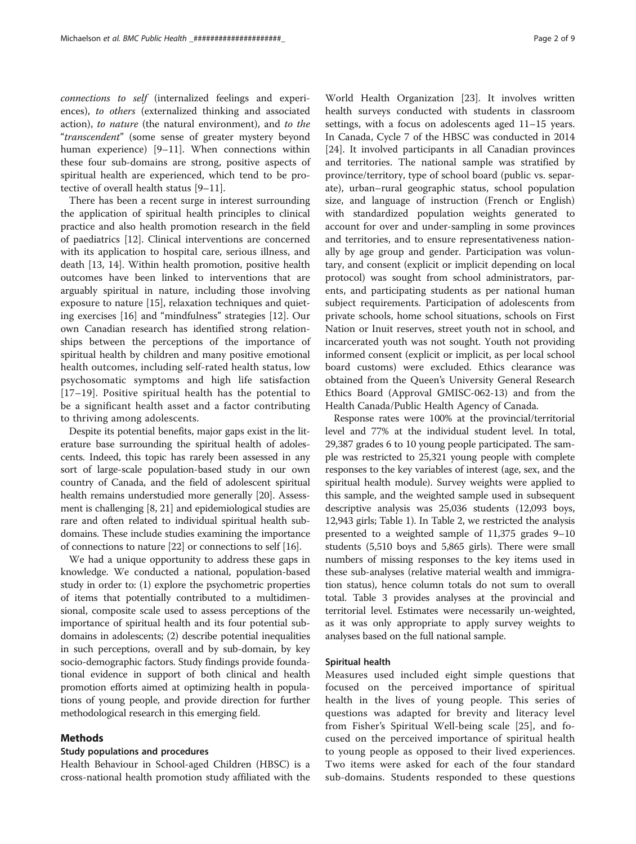connections to self (internalized feelings and experiences), to others (externalized thinking and associated action), to nature (the natural environment), and to the "transcendent" (some sense of greater mystery beyond human experience) [[9](#page-7-0)–[11\]](#page-7-0). When connections within these four sub-domains are strong, positive aspects of spiritual health are experienced, which tend to be protective of overall health status [\[9](#page-7-0)–[11\]](#page-7-0).

There has been a recent surge in interest surrounding the application of spiritual health principles to clinical practice and also health promotion research in the field of paediatrics [[12](#page-7-0)]. Clinical interventions are concerned with its application to hospital care, serious illness, and death [[13, 14](#page-7-0)]. Within health promotion, positive health outcomes have been linked to interventions that are arguably spiritual in nature, including those involving exposure to nature [\[15\]](#page-7-0), relaxation techniques and quieting exercises [[16](#page-7-0)] and "mindfulness" strategies [\[12](#page-7-0)]. Our own Canadian research has identified strong relationships between the perceptions of the importance of spiritual health by children and many positive emotional health outcomes, including self-rated health status, low psychosomatic symptoms and high life satisfaction [[17](#page-7-0)–[19](#page-8-0)]. Positive spiritual health has the potential to be a significant health asset and a factor contributing to thriving among adolescents.

Despite its potential benefits, major gaps exist in the literature base surrounding the spiritual health of adolescents. Indeed, this topic has rarely been assessed in any sort of large-scale population-based study in our own country of Canada, and the field of adolescent spiritual health remains understudied more generally [[20](#page-8-0)]. Assessment is challenging [\[8](#page-7-0), [21](#page-8-0)] and epidemiological studies are rare and often related to individual spiritual health subdomains. These include studies examining the importance of connections to nature [\[22](#page-8-0)] or connections to self [[16](#page-7-0)].

We had a unique opportunity to address these gaps in knowledge. We conducted a national, population-based study in order to: (1) explore the psychometric properties of items that potentially contributed to a multidimensional, composite scale used to assess perceptions of the importance of spiritual health and its four potential subdomains in adolescents; (2) describe potential inequalities in such perceptions, overall and by sub-domain, by key socio-demographic factors. Study findings provide foundational evidence in support of both clinical and health promotion efforts aimed at optimizing health in populations of young people, and provide direction for further methodological research in this emerging field.

## Methods

# Study populations and procedures

Health Behaviour in School-aged Children (HBSC) is a cross-national health promotion study affiliated with the

World Health Organization [\[23\]](#page-8-0). It involves written health surveys conducted with students in classroom settings, with a focus on adolescents aged 11–15 years. In Canada, Cycle 7 of the HBSC was conducted in 2014 [[24\]](#page-8-0). It involved participants in all Canadian provinces and territories. The national sample was stratified by province/territory, type of school board (public vs. separate), urban–rural geographic status, school population size, and language of instruction (French or English) with standardized population weights generated to account for over and under-sampling in some provinces and territories, and to ensure representativeness nationally by age group and gender. Participation was voluntary, and consent (explicit or implicit depending on local protocol) was sought from school administrators, parents, and participating students as per national human subject requirements. Participation of adolescents from private schools, home school situations, schools on First Nation or Inuit reserves, street youth not in school, and incarcerated youth was not sought. Youth not providing informed consent (explicit or implicit, as per local school board customs) were excluded. Ethics clearance was obtained from the Queen's University General Research Ethics Board (Approval GMISC-062-13) and from the Health Canada/Public Health Agency of Canada.

Response rates were 100% at the provincial/territorial level and 77% at the individual student level. In total, 29,387 grades 6 to 10 young people participated. The sample was restricted to 25,321 young people with complete responses to the key variables of interest (age, sex, and the spiritual health module). Survey weights were applied to this sample, and the weighted sample used in subsequent descriptive analysis was 25,036 students (12,093 boys, 12,943 girls; Table [1\)](#page-2-0). In Table [2](#page-2-0), we restricted the analysis presented to a weighted sample of 11,375 grades 9–10 students (5,510 boys and 5,865 girls). There were small numbers of missing responses to the key items used in these sub-analyses (relative material wealth and immigration status), hence column totals do not sum to overall total. Table [3](#page-3-0) provides analyses at the provincial and territorial level. Estimates were necessarily un-weighted, as it was only appropriate to apply survey weights to analyses based on the full national sample.

## Spiritual health

Measures used included eight simple questions that focused on the perceived importance of spiritual health in the lives of young people. This series of questions was adapted for brevity and literacy level from Fisher's Spiritual Well-being scale [[25\]](#page-8-0), and focused on the perceived importance of spiritual health to young people as opposed to their lived experiences. Two items were asked for each of the four standard sub-domains. Students responded to these questions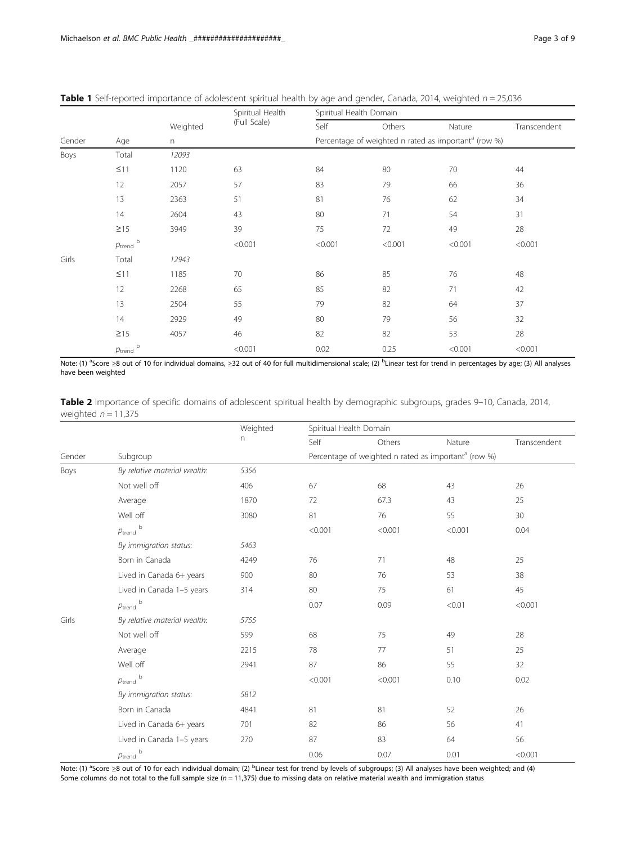| Gender | Age                     |          | Spiritual Health | Spiritual Health Domain                                          |         |         |              |  |  |  |
|--------|-------------------------|----------|------------------|------------------------------------------------------------------|---------|---------|--------------|--|--|--|
|        |                         | Weighted | (Full Scale)     | Self                                                             | Others  | Nature  | Transcendent |  |  |  |
|        |                         | n        |                  | Percentage of weighted n rated as important <sup>a</sup> (row %) |         |         |              |  |  |  |
| Boys   | Total                   | 12093    |                  |                                                                  |         |         |              |  |  |  |
|        | $\leq$ 11               | 1120     | 63               | 84                                                               | 80      | 70      | 44           |  |  |  |
|        | 12                      | 2057     | 57               | 83                                                               | 79      | 66      | 36           |  |  |  |
|        | 13                      | 2363     | 51               | 81                                                               | 76      | 62      | 34           |  |  |  |
|        | 14                      | 2604     | 43               | 80                                                               | 71      | 54      | 31           |  |  |  |
|        | $\geq$ 15               | 3949     | 39               | 75                                                               | 72      | 49      | 28           |  |  |  |
|        | b<br>$p_{\text{trend}}$ |          | < 0.001          | < 0.001                                                          | < 0.001 | < 0.001 | < 0.001      |  |  |  |
| Girls  | Total                   | 12943    |                  |                                                                  |         |         |              |  |  |  |
|        | $\leq$ 11               | 1185     | 70               | 86                                                               | 85      | 76      | 48           |  |  |  |
|        | 12                      | 2268     | 65               | 85                                                               | 82      | 71      | 42           |  |  |  |
|        | 13                      | 2504     | 55               | 79                                                               | 82      | 64      | 37           |  |  |  |
|        | 14                      | 2929     | 49               | 80                                                               | 79      | 56      | 32           |  |  |  |
|        | $\geq$ 15               | 4057     | 46               | 82                                                               | 82      | 53      | 28           |  |  |  |
|        | b<br>$p_{\text{trend}}$ |          | < 0.001          | 0.02                                                             | 0.25    | < 0.001 | < 0.001      |  |  |  |

<span id="page-2-0"></span>Table 1 Self-reported importance of adolescent spiritual health by age and gender, Canada, 2014, weighted  $n = 25,036$ 

Note: (1) <sup>a</sup>Score ≥8 out of 10 for individual domains, ≥32 out of 40 for full multidimensional scale; (2) <sup>b</sup>Linear test for trend in percentages by age; (3) All analyses have been weighted

| Table 2 Importance of specific domains of adolescent spiritual health by demographic subgroups, grades 9-10, Canada, 2014, |  |  |  |  |
|----------------------------------------------------------------------------------------------------------------------------|--|--|--|--|
| weighted $n = 11,375$                                                                                                      |  |  |  |  |

|               |                                   | Weighted | Spiritual Health Domain                                          |         |         |              |  |  |  |
|---------------|-----------------------------------|----------|------------------------------------------------------------------|---------|---------|--------------|--|--|--|
|               |                                   | n        | Self                                                             | Others  | Nature  | Transcendent |  |  |  |
| Gender        | Subgroup                          |          | Percentage of weighted n rated as important <sup>a</sup> (row %) |         |         |              |  |  |  |
| Boys<br>Girls | By relative material wealth:      | 5356     |                                                                  |         |         |              |  |  |  |
|               | Not well off                      | 406      | 67                                                               | 68      | 43      | 26           |  |  |  |
|               | Average                           | 1870     | 72                                                               | 67.3    | 43      | 25           |  |  |  |
|               | Well off                          | 3080     | 81                                                               | 76      | 55      | 30           |  |  |  |
|               | $p_{\text{trend}}$ <sub>b</sub>   |          | < 0.001                                                          | < 0.001 | < 0.001 | 0.04         |  |  |  |
|               | By immigration status:            | 5463     |                                                                  |         |         |              |  |  |  |
|               | Born in Canada                    | 4249     | 76                                                               | 71      | 48      | 25           |  |  |  |
|               | Lived in Canada 6+ years          | 900      | 80                                                               | 76      | 53      | 38           |  |  |  |
|               | Lived in Canada 1-5 years         | 314      | 80                                                               | 75      | 61      | 45           |  |  |  |
|               | $p_{\text{trend}}$ <sub>b</sub>   |          | 0.07                                                             | 0.09    | < 0.01  | < 0.001      |  |  |  |
|               | By relative material wealth:      | 5755     |                                                                  |         |         |              |  |  |  |
|               | Not well off                      | 599      | 68                                                               | 75      | 49      | 28           |  |  |  |
|               | Average                           | 2215     | 78                                                               | 77      | 51      | 25           |  |  |  |
|               | Well off                          | 2941     | 87                                                               | 86      | 55      | 32           |  |  |  |
|               | b<br>$p_{\text{trend}}$           |          | < 0.001                                                          | < 0.001 | 0.10    | 0.02         |  |  |  |
|               | By immigration status:            | 5812     |                                                                  |         |         |              |  |  |  |
|               | Born in Canada                    | 4841     | 81                                                               | 81      | 52      | 26           |  |  |  |
|               | Lived in Canada 6+ years          | 701      | 82                                                               | 86      | 56      | 41           |  |  |  |
|               | Lived in Canada 1-5 years         | 270      | 87                                                               | 83      | 64      | 56           |  |  |  |
|               | $\mathbf b$<br>$p_{\text{trend}}$ |          | 0.06                                                             | 0.07    | 0.01    | < 0.001      |  |  |  |

Note: (1) <sup>a</sup>Score ≥8 out of 10 for each individual domain; (2) <sup>b</sup>Linear test for trend by levels of subgroups; (3) All analyses have been weighted; and (4) Some columns do not total to the full sample size ( $n = 11,375$ ) due to missing data on relative material wealth and immigration status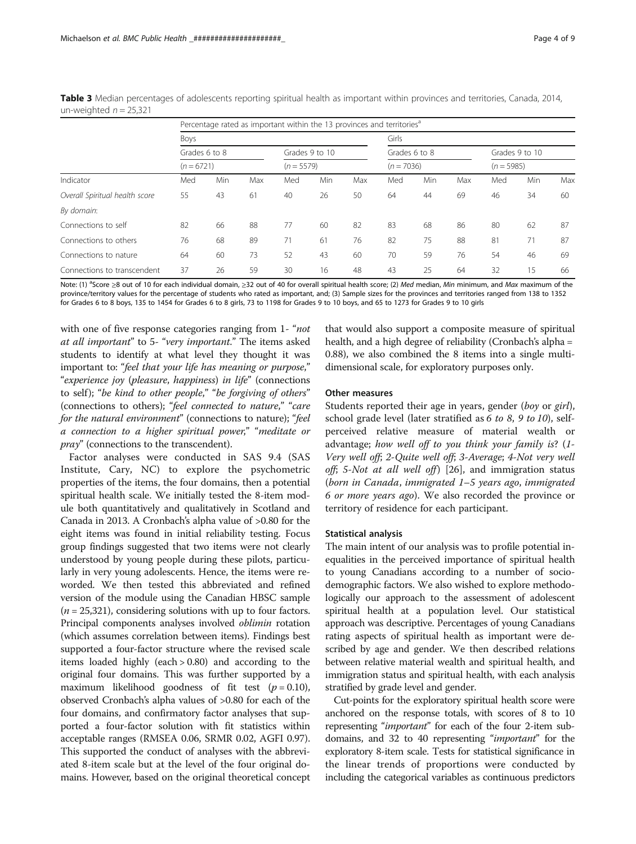|                                | Percentage rated as important within the 13 provinces and territories <sup>a</sup> |     |     |                                |     |               |       |                                |     |     |     |     |
|--------------------------------|------------------------------------------------------------------------------------|-----|-----|--------------------------------|-----|---------------|-------|--------------------------------|-----|-----|-----|-----|
|                                | Boys                                                                               |     |     |                                |     |               | Girls |                                |     |     |     |     |
|                                | Grades 6 to 8<br>$(n = 6721)$                                                      |     |     | Grades 9 to 10<br>$(n = 5579)$ |     | Grades 6 to 8 |       | Grades 9 to 10<br>$(n = 5985)$ |     |     |     |     |
|                                |                                                                                    |     |     |                                |     | $(n = 7036)$  |       |                                |     |     |     |     |
| Indicator                      | Med                                                                                | Min | Max | Med                            | Min | Max           | Med   | Min                            | Max | Med | Min | Max |
| Overall Spiritual health score | 55                                                                                 | 43  | 61  | 40                             | 26  | 50            | 64    | 44                             | 69  | 46  | 34  | 60  |
| By domain:                     |                                                                                    |     |     |                                |     |               |       |                                |     |     |     |     |
| Connections to self            | 82                                                                                 | 66  | 88  | 77                             | 60  | 82            | 83    | 68                             | 86  | 80  | 62  | 87  |
| Connections to others          | 76                                                                                 | 68  | 89  | 71                             | 61  | 76            | 82    | 75                             | 88  | 81  | 71  | 87  |
| Connections to nature          | 64                                                                                 | 60  | 73  | 52                             | 43  | 60            | 70    | 59                             | 76  | 54  | 46  | 69  |
| Connections to transcendent    | 37                                                                                 | 26  | 59  | 30                             | 16  | 48            | 43    | 25                             | 64  | 32  | 15  | 66  |

<span id="page-3-0"></span>Table 3 Median percentages of adolescents reporting spiritual health as important within provinces and territories, Canada, 2014, un-weighted  $n = 25.321$ 

Note: (1) <sup>a</sup>Score ≥8 out of 10 for each individual domain, ≥32 out of 40 for overall spiritual health score; (2) Med median, Min minimum, and Max maximum of the province/territory values for the percentage of students who rated as important, and; (3) Sample sizes for the provinces and territories ranged from 138 to 1352 for Grades 6 to 8 boys, 135 to 1454 for Grades 6 to 8 girls, 73 to 1198 for Grades 9 to 10 boys, and 65 to 1273 for Grades 9 to 10 girls

with one of five response categories ranging from 1- "*not* at all important" to 5- "very important." The items asked students to identify at what level they thought it was important to: "feel that your life has meaning or purpose," "experience joy (pleasure, happiness) in life" (connections to self); "be kind to other people," "be forgiving of others" (connections to others); "feel connected to nature," "care for the natural environment" (connections to nature); "feel a connection to a higher spiritual power," "meditate or  $prav''$  (connections to the transcendent).

Factor analyses were conducted in SAS 9.4 (SAS Institute, Cary, NC) to explore the psychometric properties of the items, the four domains, then a potential spiritual health scale. We initially tested the 8-item module both quantitatively and qualitatively in Scotland and Canada in 2013. A Cronbach's alpha value of >0.80 for the eight items was found in initial reliability testing. Focus group findings suggested that two items were not clearly understood by young people during these pilots, particularly in very young adolescents. Hence, the items were reworded. We then tested this abbreviated and refined version of the module using the Canadian HBSC sample  $(n = 25,321)$ , considering solutions with up to four factors. Principal components analyses involved oblimin rotation (which assumes correlation between items). Findings best supported a four-factor structure where the revised scale items loaded highly (each > 0.80) and according to the original four domains. This was further supported by a maximum likelihood goodness of fit test  $(p = 0.10)$ , observed Cronbach's alpha values of >0.80 for each of the four domains, and confirmatory factor analyses that supported a four-factor solution with fit statistics within acceptable ranges (RMSEA 0.06, SRMR 0.02, AGFI 0.97). This supported the conduct of analyses with the abbreviated 8-item scale but at the level of the four original domains. However, based on the original theoretical concept

that would also support a composite measure of spiritual health, and a high degree of reliability (Cronbach's alpha = 0.88), we also combined the 8 items into a single multidimensional scale, for exploratory purposes only.

# Other measures

Students reported their age in years, gender (boy or girl), school grade level (later stratified as 6 to 8, 9 to 10), selfperceived relative measure of material wealth or advantage; how well off to you think your family is? (1- Very well off; 2-Quite well off; 3-Average; 4-Not very well off; 5-Not at all well off) [\[26](#page-8-0)], and immigration status (born in Canada, immigrated 1–5 years ago, immigrated 6 or more years ago). We also recorded the province or territory of residence for each participant.

## Statistical analysis

The main intent of our analysis was to profile potential inequalities in the perceived importance of spiritual health to young Canadians according to a number of sociodemographic factors. We also wished to explore methodologically our approach to the assessment of adolescent spiritual health at a population level. Our statistical approach was descriptive. Percentages of young Canadians rating aspects of spiritual health as important were described by age and gender. We then described relations between relative material wealth and spiritual health, and immigration status and spiritual health, with each analysis stratified by grade level and gender.

Cut-points for the exploratory spiritual health score were anchored on the response totals, with scores of 8 to 10 representing "important" for each of the four 2-item subdomains, and 32 to 40 representing "important" for the exploratory 8-item scale. Tests for statistical significance in the linear trends of proportions were conducted by including the categorical variables as continuous predictors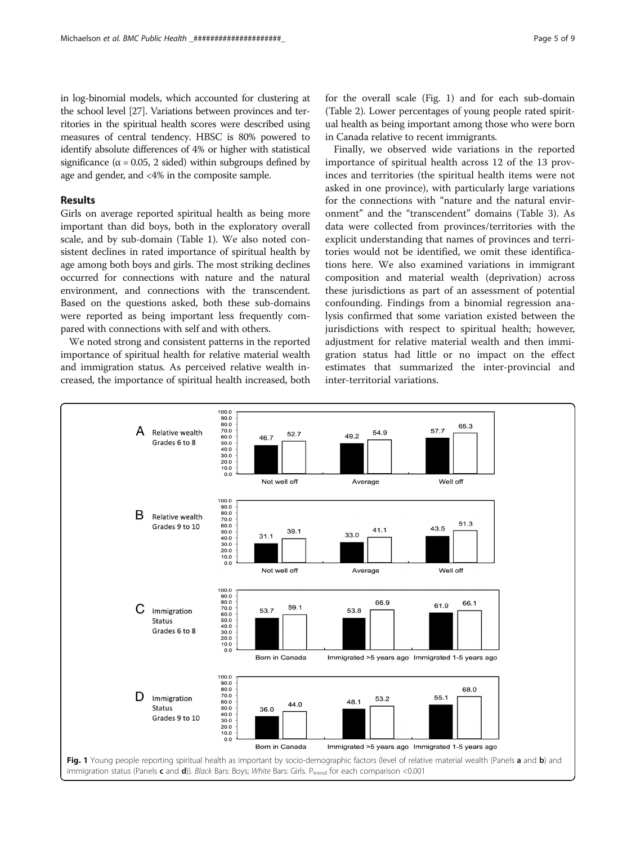in log-binomial models, which accounted for clustering at the school level [[27](#page-8-0)]. Variations between provinces and territories in the spiritual health scores were described using measures of central tendency. HBSC is 80% powered to identify absolute differences of 4% or higher with statistical significance ( $\alpha$  = 0.05, 2 sided) within subgroups defined by age and gender, and <4% in the composite sample.

# Results

Girls on average reported spiritual health as being more important than did boys, both in the exploratory overall scale, and by sub-domain (Table [1](#page-2-0)). We also noted consistent declines in rated importance of spiritual health by age among both boys and girls. The most striking declines occurred for connections with nature and the natural environment, and connections with the transcendent. Based on the questions asked, both these sub-domains were reported as being important less frequently compared with connections with self and with others.

We noted strong and consistent patterns in the reported importance of spiritual health for relative material wealth and immigration status. As perceived relative wealth increased, the importance of spiritual health increased, both for the overall scale (Fig. 1) and for each sub-domain (Table [2](#page-2-0)). Lower percentages of young people rated spiritual health as being important among those who were born in Canada relative to recent immigrants.

Finally, we observed wide variations in the reported importance of spiritual health across 12 of the 13 provinces and territories (the spiritual health items were not asked in one province), with particularly large variations for the connections with "nature and the natural environment" and the "transcendent" domains (Table [3](#page-3-0)). As data were collected from provinces/territories with the explicit understanding that names of provinces and territories would not be identified, we omit these identifications here. We also examined variations in immigrant composition and material wealth (deprivation) across these jurisdictions as part of an assessment of potential confounding. Findings from a binomial regression analysis confirmed that some variation existed between the jurisdictions with respect to spiritual health; however, adjustment for relative material wealth and then immigration status had little or no impact on the effect estimates that summarized the inter-provincial and inter-territorial variations.

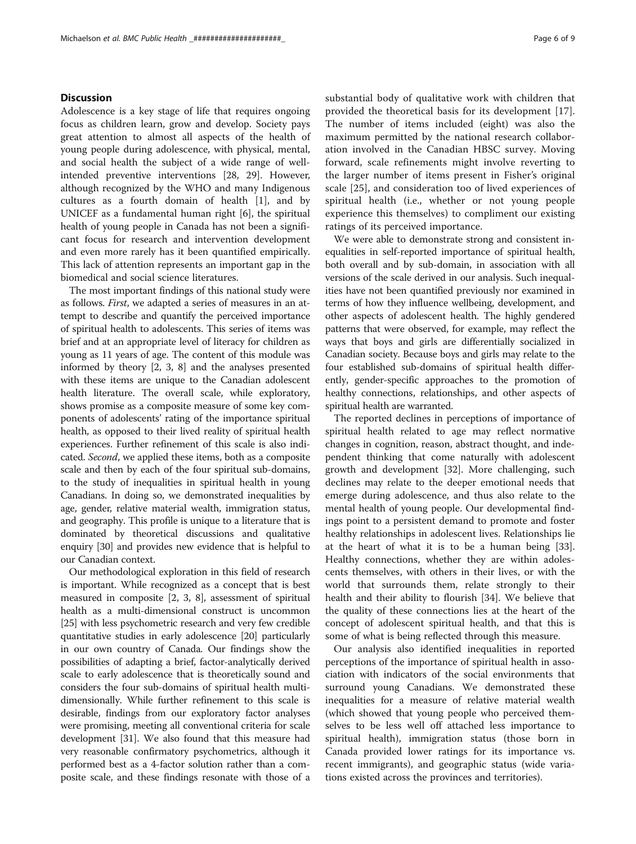# **Discussion**

Adolescence is a key stage of life that requires ongoing focus as children learn, grow and develop. Society pays great attention to almost all aspects of the health of young people during adolescence, with physical, mental, and social health the subject of a wide range of wellintended preventive interventions [[28, 29](#page-8-0)]. However, although recognized by the WHO and many Indigenous cultures as a fourth domain of health [\[1](#page-7-0)], and by UNICEF as a fundamental human right [\[6](#page-7-0)], the spiritual health of young people in Canada has not been a significant focus for research and intervention development and even more rarely has it been quantified empirically. This lack of attention represents an important gap in the biomedical and social science literatures.

The most important findings of this national study were as follows. First, we adapted a series of measures in an attempt to describe and quantify the perceived importance of spiritual health to adolescents. This series of items was brief and at an appropriate level of literacy for children as young as 11 years of age. The content of this module was informed by theory [\[2](#page-7-0), [3](#page-7-0), [8](#page-7-0)] and the analyses presented with these items are unique to the Canadian adolescent health literature. The overall scale, while exploratory, shows promise as a composite measure of some key components of adolescents' rating of the importance spiritual health, as opposed to their lived reality of spiritual health experiences. Further refinement of this scale is also indicated. Second, we applied these items, both as a composite scale and then by each of the four spiritual sub-domains, to the study of inequalities in spiritual health in young Canadians. In doing so, we demonstrated inequalities by age, gender, relative material wealth, immigration status, and geography. This profile is unique to a literature that is dominated by theoretical discussions and qualitative enquiry [\[30](#page-8-0)] and provides new evidence that is helpful to our Canadian context.

Our methodological exploration in this field of research is important. While recognized as a concept that is best measured in composite [\[2](#page-7-0), [3, 8\]](#page-7-0), assessment of spiritual health as a multi-dimensional construct is uncommon [[25](#page-8-0)] with less psychometric research and very few credible quantitative studies in early adolescence [[20](#page-8-0)] particularly in our own country of Canada. Our findings show the possibilities of adapting a brief, factor-analytically derived scale to early adolescence that is theoretically sound and considers the four sub-domains of spiritual health multidimensionally. While further refinement to this scale is desirable, findings from our exploratory factor analyses were promising, meeting all conventional criteria for scale development [[31](#page-8-0)]. We also found that this measure had very reasonable confirmatory psychometrics, although it performed best as a 4-factor solution rather than a composite scale, and these findings resonate with those of a substantial body of qualitative work with children that provided the theoretical basis for its development [\[17](#page-7-0)]. The number of items included (eight) was also the maximum permitted by the national research collaboration involved in the Canadian HBSC survey. Moving forward, scale refinements might involve reverting to the larger number of items present in Fisher's original scale [\[25](#page-8-0)], and consideration too of lived experiences of spiritual health (i.e., whether or not young people experience this themselves) to compliment our existing ratings of its perceived importance.

We were able to demonstrate strong and consistent inequalities in self-reported importance of spiritual health, both overall and by sub-domain, in association with all versions of the scale derived in our analysis. Such inequalities have not been quantified previously nor examined in terms of how they influence wellbeing, development, and other aspects of adolescent health. The highly gendered patterns that were observed, for example, may reflect the ways that boys and girls are differentially socialized in Canadian society. Because boys and girls may relate to the four established sub-domains of spiritual health differently, gender-specific approaches to the promotion of healthy connections, relationships, and other aspects of spiritual health are warranted.

The reported declines in perceptions of importance of spiritual health related to age may reflect normative changes in cognition, reason, abstract thought, and independent thinking that come naturally with adolescent growth and development [[32\]](#page-8-0). More challenging, such declines may relate to the deeper emotional needs that emerge during adolescence, and thus also relate to the mental health of young people. Our developmental findings point to a persistent demand to promote and foster healthy relationships in adolescent lives. Relationships lie at the heart of what it is to be a human being [\[33](#page-8-0)]. Healthy connections, whether they are within adolescents themselves, with others in their lives, or with the world that surrounds them, relate strongly to their health and their ability to flourish [[34\]](#page-8-0). We believe that the quality of these connections lies at the heart of the concept of adolescent spiritual health, and that this is some of what is being reflected through this measure.

Our analysis also identified inequalities in reported perceptions of the importance of spiritual health in association with indicators of the social environments that surround young Canadians. We demonstrated these inequalities for a measure of relative material wealth (which showed that young people who perceived themselves to be less well off attached less importance to spiritual health), immigration status (those born in Canada provided lower ratings for its importance vs. recent immigrants), and geographic status (wide variations existed across the provinces and territories).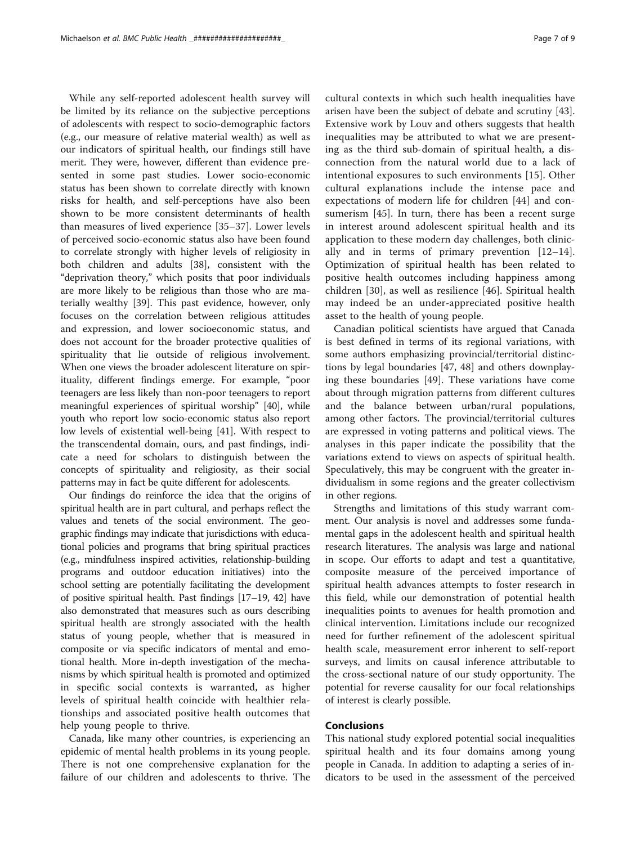While any self-reported adolescent health survey will be limited by its reliance on the subjective perceptions of adolescents with respect to socio-demographic factors (e.g., our measure of relative material wealth) as well as our indicators of spiritual health, our findings still have merit. They were, however, different than evidence presented in some past studies. Lower socio-economic status has been shown to correlate directly with known risks for health, and self-perceptions have also been shown to be more consistent determinants of health than measures of lived experience [[35](#page-8-0)–[37](#page-8-0)]. Lower levels of perceived socio-economic status also have been found to correlate strongly with higher levels of religiosity in both children and adults [\[38](#page-8-0)], consistent with the "deprivation theory," which posits that poor individuals are more likely to be religious than those who are materially wealthy [[39](#page-8-0)]. This past evidence, however, only focuses on the correlation between religious attitudes and expression, and lower socioeconomic status, and does not account for the broader protective qualities of spirituality that lie outside of religious involvement. When one views the broader adolescent literature on spirituality, different findings emerge. For example, "poor teenagers are less likely than non-poor teenagers to report meaningful experiences of spiritual worship" [[40](#page-8-0)], while youth who report low socio-economic status also report low levels of existential well-being [\[41\]](#page-8-0). With respect to the transcendental domain, ours, and past findings, indicate a need for scholars to distinguish between the concepts of spirituality and religiosity, as their social patterns may in fact be quite different for adolescents.

Our findings do reinforce the idea that the origins of spiritual health are in part cultural, and perhaps reflect the values and tenets of the social environment. The geographic findings may indicate that jurisdictions with educational policies and programs that bring spiritual practices (e.g., mindfulness inspired activities, relationship-building programs and outdoor education initiatives) into the school setting are potentially facilitating the development of positive spiritual health. Past findings [[17](#page-7-0)–[19](#page-8-0), [42\]](#page-8-0) have also demonstrated that measures such as ours describing spiritual health are strongly associated with the health status of young people, whether that is measured in composite or via specific indicators of mental and emotional health. More in-depth investigation of the mechanisms by which spiritual health is promoted and optimized in specific social contexts is warranted, as higher levels of spiritual health coincide with healthier relationships and associated positive health outcomes that help young people to thrive.

Canada, like many other countries, is experiencing an epidemic of mental health problems in its young people. There is not one comprehensive explanation for the failure of our children and adolescents to thrive. The cultural contexts in which such health inequalities have arisen have been the subject of debate and scrutiny [\[43](#page-8-0)]. Extensive work by Louv and others suggests that health inequalities may be attributed to what we are presenting as the third sub-domain of spiritual health, a disconnection from the natural world due to a lack of intentional exposures to such environments [\[15](#page-7-0)]. Other cultural explanations include the intense pace and expectations of modern life for children [\[44](#page-8-0)] and consumerism [[45\]](#page-8-0). In turn, there has been a recent surge in interest around adolescent spiritual health and its application to these modern day challenges, both clinically and in terms of primary prevention [\[12](#page-7-0)–[14](#page-7-0)]. Optimization of spiritual health has been related to positive health outcomes including happiness among children [[30\]](#page-8-0), as well as resilience [[46](#page-8-0)]. Spiritual health may indeed be an under-appreciated positive health asset to the health of young people.

Canadian political scientists have argued that Canada is best defined in terms of its regional variations, with some authors emphasizing provincial/territorial distinctions by legal boundaries [[47, 48](#page-8-0)] and others downplaying these boundaries [\[49](#page-8-0)]. These variations have come about through migration patterns from different cultures and the balance between urban/rural populations, among other factors. The provincial/territorial cultures are expressed in voting patterns and political views. The analyses in this paper indicate the possibility that the variations extend to views on aspects of spiritual health. Speculatively, this may be congruent with the greater individualism in some regions and the greater collectivism in other regions.

Strengths and limitations of this study warrant comment. Our analysis is novel and addresses some fundamental gaps in the adolescent health and spiritual health research literatures. The analysis was large and national in scope. Our efforts to adapt and test a quantitative, composite measure of the perceived importance of spiritual health advances attempts to foster research in this field, while our demonstration of potential health inequalities points to avenues for health promotion and clinical intervention. Limitations include our recognized need for further refinement of the adolescent spiritual health scale, measurement error inherent to self-report surveys, and limits on causal inference attributable to the cross-sectional nature of our study opportunity. The potential for reverse causality for our focal relationships of interest is clearly possible.

# Conclusions

This national study explored potential social inequalities spiritual health and its four domains among young people in Canada. In addition to adapting a series of indicators to be used in the assessment of the perceived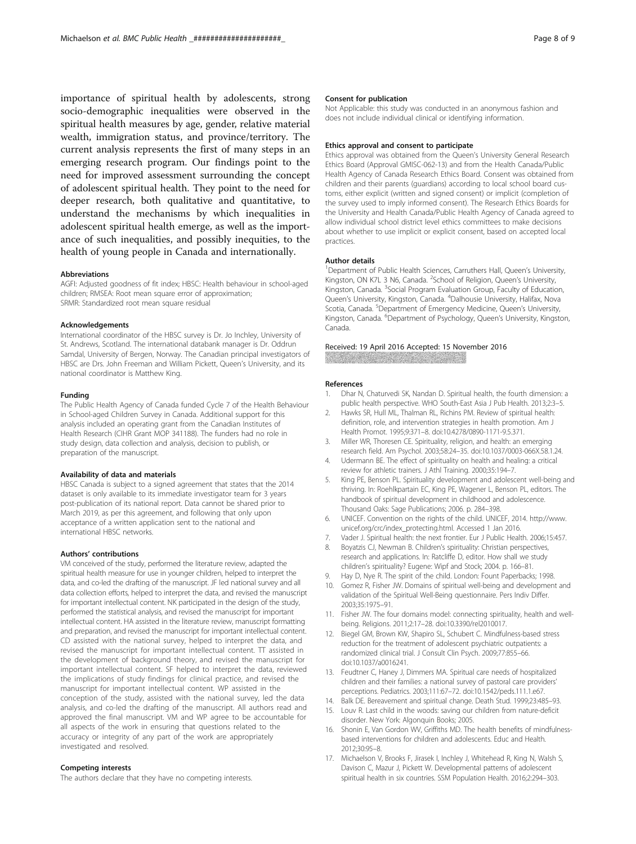<span id="page-7-0"></span>importance of spiritual health by adolescents, strong socio-demographic inequalities were observed in the spiritual health measures by age, gender, relative material wealth, immigration status, and province/territory. The current analysis represents the first of many steps in an emerging research program. Our findings point to the need for improved assessment surrounding the concept of adolescent spiritual health. They point to the need for deeper research, both qualitative and quantitative, to understand the mechanisms by which inequalities in adolescent spiritual health emerge, as well as the importance of such inequalities, and possibly inequities, to the health of young people in Canada and internationally.

#### Abbreviations

AGFI: Adjusted goodness of fit index; HBSC: Health behaviour in school-aged children; RMSEA: Root mean square error of approximation; SRMR: Standardized root mean square residual

#### Acknowledgements

International coordinator of the HBSC survey is Dr. Jo Inchley, University of St. Andrews, Scotland. The international databank manager is Dr. Oddrun Samdal, University of Bergen, Norway. The Canadian principal investigators of HBSC are Drs. John Freeman and William Pickett, Queen's University, and its national coordinator is Matthew King.

## Funding

The Public Health Agency of Canada funded Cycle 7 of the Health Behaviour in School-aged Children Survey in Canada. Additional support for this analysis included an operating grant from the Canadian Institutes of Health Research (CIHR Grant MOP 341188). The funders had no role in study design, data collection and analysis, decision to publish, or preparation of the manuscript.

#### Availability of data and materials

HBSC Canada is subject to a signed agreement that states that the 2014 dataset is only available to its immediate investigator team for 3 years post-publication of its national report. Data cannot be shared prior to March 2019, as per this agreement, and following that only upon acceptance of a written application sent to the national and international HBSC networks.

#### Authors' contributions

VM conceived of the study, performed the literature review, adapted the spiritual health measure for use in younger children, helped to interpret the data, and co-led the drafting of the manuscript. JF led national survey and all data collection efforts, helped to interpret the data, and revised the manuscript for important intellectual content. NK participated in the design of the study, performed the statistical analysis, and revised the manuscript for important intellectual content. HA assisted in the literature review, manuscript formatting and preparation, and revised the manuscript for important intellectual content. CD assisted with the national survey, helped to interpret the data, and revised the manuscript for important intellectual content. TT assisted in the development of background theory, and revised the manuscript for important intellectual content. SF helped to interpret the data, reviewed the implications of study findings for clinical practice, and revised the manuscript for important intellectual content. WP assisted in the conception of the study, assisted with the national survey, led the data analysis, and co-led the drafting of the manuscript. All authors read and approved the final manuscript. VM and WP agree to be accountable for all aspects of the work in ensuring that questions related to the accuracy or integrity of any part of the work are appropriately investigated and resolved.

# Competing interests

The authors declare that they have no competing interests.

### Consent for publication

Not Applicable: this study was conducted in an anonymous fashion and does not include individual clinical or identifying information.

#### Ethics approval and consent to participate

Ethics approval was obtained from the Queen's University General Research Ethics Board (Approval GMISC-062-13) and from the Health Canada/Public Health Agency of Canada Research Ethics Board. Consent was obtained from children and their parents (guardians) according to local school board customs, either explicit (written and signed consent) or implicit (completion of the survey used to imply informed consent). The Research Ethics Boards for the University and Health Canada/Public Health Agency of Canada agreed to allow individual school district level ethics committees to make decisions about whether to use implicit or explicit consent, based on accepted local practices.

#### Author details

<sup>1</sup>Department of Public Health Sciences, Carruthers Hall, Queen's University, Kingston, ON K7L 3 N6, Canada. <sup>2</sup>School of Religion, Queen's University, Kingston, Canada. <sup>3</sup>Social Program Evaluation Group, Faculty of Education Queen's University, Kingston, Canada. <sup>4</sup>Dalhousie University, Halifax, Nova Scotia, Canada. <sup>5</sup>Department of Emergency Medicine, Queen's University Kingston, Canada. <sup>6</sup>Department of Psychology, Queen's University, Kingston Canada.

#### Received: 19 April 2016 Accepted: 15 November 2016

i na matang 

#### References

- 1. Dhar N, Chaturvedi SK, Nandan D. Spiritual health, the fourth dimension: a public health perspective. WHO South-East Asia J Pub Health. 2013;2:3–5.
- 2. Hawks SR, Hull ML, Thalman RL, Richins PM. Review of spiritual health: definition, role, and intervention strategies in health promotion. Am J Health Promot. 1995;9:371–8. doi[:10.4278/0890-1171-9.5.371](http://dx.doi.org/10.4278/0890-1171-9.5.371).
- 3. Miller WR, Thoresen CE. Spirituality, religion, and health: an emerging research field. Am Psychol. 2003;58:24–35. doi:[10.1037/0003-066X.58.1.24](http://dx.doi.org/10.1037/0003-066X.58.1.24).
- 4. Udermann BE. The effect of spirituality on health and healing: a critical review for athletic trainers. J Athl Training. 2000;35:194–7.
- 5. King PE, Benson PL. Spirituality development and adolescent well-being and thriving. In: Roehlkpartain EC, King PE, Wagener L, Benson PL, editors. The handbook of spiritual development in childhood and adolescence. Thousand Oaks: Sage Publications; 2006. p. 284–398.
- 6. UNICEF. Convention on the rights of the child. UNICEF, 2014. [http://www.](http://www.unicef.org/crc/index_protecting.html) [unicef.org/crc/index\\_protecting.html](http://www.unicef.org/crc/index_protecting.html). Accessed 1 Jan 2016.
- 7. Vader J. Spiritual health: the next frontier. Eur J Public Health. 2006;15:457.
- 8. Boyatzis CJ, Newman B. Children's spirituality: Christian perspectives, research and applications. In: Ratcliffe D, editor. How shall we study children's spirituality? Eugene: Wipf and Stock; 2004. p. 166–81.
- 9. Hay D, Nye R. The spirit of the child. London: Fount Paperbacks; 1998.
- 10. Gomez R, Fisher JW. Domains of spiritual well-being and development and validation of the Spiritual Well-Being questionnaire. Pers Indiv Differ. 2003;35:1975–91.
- 11. Fisher JW. The four domains model: connecting spirituality, health and wellbeing. Religions. 2011;2:17–28. doi:[10.3390/rel2010017](http://dx.doi.org/10.3390/rel2010017).
- 12. Biegel GM, Brown KW, Shapiro SL, Schubert C. Mindfulness-based stress reduction for the treatment of adolescent psychiatric outpatients: a randomized clinical trial. J Consult Clin Psych. 2009;77:855–66. doi[:10.1037/a0016241](http://dx.doi.org/10.1037/a0016241).
- 13. Feudtner C, Haney J, Dimmers MA. Spiritual care needs of hospitalized children and their families: a national survey of pastoral care providers' perceptions. Pediatrics. 2003;111:67–72. doi:[10.1542/peds.111.1.e67](http://dx.doi.org/10.1542/peds.111.1.e67).
- 14. Balk DE. Bereavement and spiritual change. Death Stud. 1999;23:485–93.
- 15. Louv R. Last child in the woods: saving our children from nature-deficit disorder. New York: Algonquin Books; 2005.
- 16. Shonin E, Van Gordon WV, Griffiths MD. The health benefits of mindfulnessbased interventions for children and adolescents. Educ and Health. 2012;30:95–8.
- 17. Michaelson V, Brooks F, Jirasek I, Inchley J, Whitehead R, King N, Walsh S, Davison C, Mazur J, Pickett W. Developmental patterns of adolescent spiritual health in six countries. SSM Population Health. 2016;2:294–303.